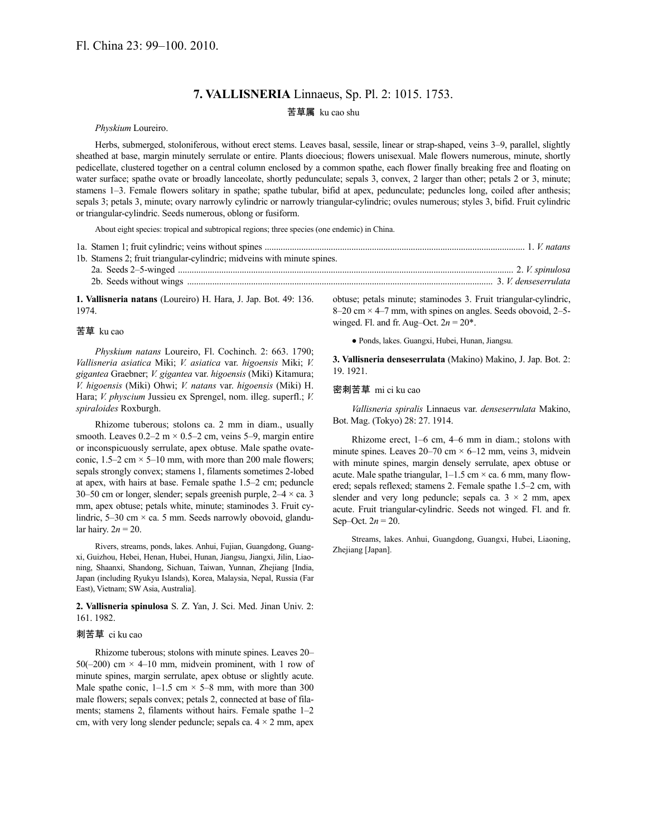# **7. VALLISNERIA** Linnaeus, Sp. Pl. 2: 1015. 1753.

## 苦草属 ku cao shu

*Physkium* Loureiro.

Herbs, submerged, stoloniferous, without erect stems. Leaves basal, sessile, linear or strap-shaped, veins 3–9, parallel, slightly sheathed at base, margin minutely serrulate or entire. Plants dioecious; flowers unisexual. Male flowers numerous, minute, shortly pedicellate, clustered together on a central column enclosed by a common spathe, each flower finally breaking free and floating on water surface; spathe ovate or broadly lanceolate, shortly pedunculate; sepals 3, convex, 2 larger than other; petals 2 or 3, minute; stamens 1–3. Female flowers solitary in spathe; spathe tubular, bifid at apex, pedunculate; peduncles long, coiled after anthesis; sepals 3; petals 3, minute; ovary narrowly cylindric or narrowly triangular-cylindric; ovules numerous; styles 3, bifid. Fruit cylindric or triangular-cylindric. Seeds numerous, oblong or fusiform.

About eight species: tropical and subtropical regions; three species (one endemic) in China.

| 1b. Stamens 2; fruit triangular-cylindric; midveins with minute spines. |  |
|-------------------------------------------------------------------------|--|
|                                                                         |  |
|                                                                         |  |

**1. Vallisneria natans** (Loureiro) H. Hara, J. Jap. Bot. 49: 136. 1974.

### 苦草 ku cao

*Physkium natans* Loureiro, Fl. Cochinch. 2: 663. 1790; *Vallisneria asiatica* Miki; *V. asiatica* var. *higoensis* Miki; *V. gigantea* Graebner; *V. gigantea* var. *higoensis* (Miki) Kitamura; *V. higoensis* (Miki) Ohwi; *V. natans* var. *higoensis* (Miki) H. Hara; *V. physcium* Jussieu ex Sprengel, nom. illeg. superfl.; *V. spiraloides* Roxburgh.

Rhizome tuberous; stolons ca. 2 mm in diam., usually smooth. Leaves  $0.2-2$  m  $\times$   $0.5-2$  cm, veins 5-9, margin entire or inconspicuously serrulate, apex obtuse. Male spathe ovateconic,  $1.5-2$  cm  $\times$  5-10 mm, with more than 200 male flowers; sepals strongly convex; stamens 1, filaments sometimes 2-lobed at apex, with hairs at base. Female spathe 1.5–2 cm; peduncle 30–50 cm or longer, slender; sepals greenish purple,  $2-4 \times$  ca. 3 mm, apex obtuse; petals white, minute; staminodes 3. Fruit cylindric,  $5-30$  cm  $\times$  ca. 5 mm. Seeds narrowly obovoid, glandular hairy.  $2n = 20$ .

Rivers, streams, ponds, lakes. Anhui, Fujian, Guangdong, Guangxi, Guizhou, Hebei, Henan, Hubei, Hunan, Jiangsu, Jiangxi, Jilin, Liaoning, Shaanxi, Shandong, Sichuan, Taiwan, Yunnan, Zhejiang [India, Japan (including Ryukyu Islands), Korea, Malaysia, Nepal, Russia (Far East), Vietnam; SW Asia, Australia].

**2. Vallisneria spinulosa** S. Z. Yan, J. Sci. Med. Jinan Univ. 2: 161. 1982.

#### 刺苦草 ci ku cao

Rhizome tuberous; stolons with minute spines. Leaves 20– 50( $-200$ ) cm  $\times$  4-10 mm, midvein prominent, with 1 row of minute spines, margin serrulate, apex obtuse or slightly acute. Male spathe conic,  $1-1.5$  cm  $\times$  5–8 mm, with more than 300 male flowers; sepals convex; petals 2, connected at base of filaments; stamens 2, filaments without hairs. Female spathe 1–2 cm, with very long slender peduncle; sepals ca.  $4 \times 2$  mm, apex

obtuse; petals minute; staminodes 3. Fruit triangular-cylindric,  $8-20$  cm  $\times$  4–7 mm, with spines on angles. Seeds obovoid, 2–5– winged. Fl. and fr. Aug–Oct.  $2n = 20^*$ .

● Ponds, lakes. Guangxi, Hubei, Hunan, Jiangsu.

**3. Vallisneria denseserrulata** (Makino) Makino, J. Jap. Bot. 2: 19. 1921.

#### 密刺苦草 mi ci ku cao

*Vallisneria spiralis* Linnaeus var. *denseserrulata* Makino, Bot. Mag. (Tokyo) 28: 27. 1914.

Rhizome erect, 1–6 cm, 4–6 mm in diam.; stolons with minute spines. Leaves  $20-70$  cm  $\times$  6-12 mm, veins 3, midvein with minute spines, margin densely serrulate, apex obtuse or acute. Male spathe triangular,  $1-1.5$  cm  $\times$  ca. 6 mm, many flowered; sepals reflexed; stamens 2. Female spathe 1.5–2 cm, with slender and very long peduncle; sepals ca.  $3 \times 2$  mm, apex acute. Fruit triangular-cylindric. Seeds not winged. Fl. and fr. Sep–Oct.  $2n = 20$ .

Streams, lakes. Anhui, Guangdong, Guangxi, Hubei, Liaoning, Zhejiang [Japan].